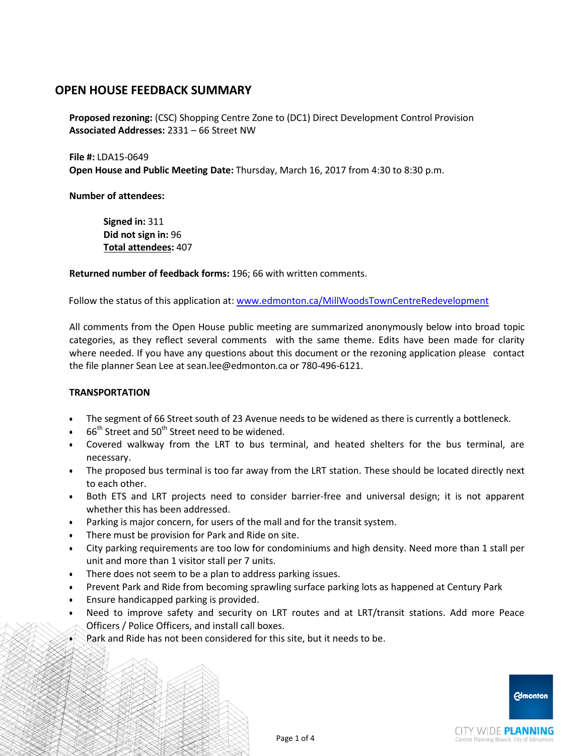**Proposed rezoning:** (CSC) Shopping Centre Zone to (DC1) Direct Development Control Provision **Associated Addresses:** 2331 – 66 Street NW

**File #:** LDA15-0649 **Open House and Public Meeting Date:** Thursday, March 16, 2017 from 4:30 to 8:30 p.m.

**Number of attendees:**

**Signed in:** 311 **Did not sign in:** 96 **Total attendees:** 407

**Returned number of feedback forms:** 196; 66 with written comments.

Follow the status of this application at: [www.edmonton.ca/MillWoodsTownCentreRedevelopment](http://www.edmonton.ca/MillWoodsTownCentreRedevelopment)

All comments from the Open House public meeting are summarized anonymously below into broad topic categories, as they reflect several comments with the same theme. Edits have been made for clarity where needed. If you have any questions about this document or the rezoning application please contact the file planner Sean Lee at [sean.lee@edmonton.ca](mailto:sean.lee@edmonton.ca) or 780-496-6121.

#### **TRANSPORTATION**

- The segment of 66 Street south of 23 Avenue needs to be widened as there is currently a bottleneck.
- $66<sup>th</sup>$  Street and 50<sup>th</sup> Street need to be widened.
- Covered walkway from the LRT to bus terminal, and heated shelters for the bus terminal, are necessary.
- The proposed bus terminal is too far away from the LRT station. These should be located directly next to each other.
- Both ETS and LRT projects need to consider barrier-free and universal design; it is not apparent whether this has been addressed.
- Parking is major concern, for users of the mall and for the transit system.
- There must be provision for Park and Ride on site.
- City parking requirements are too low for condominiums and high density. Need more than 1 stall per unit and more than 1 visitor stall per 7 units.
- There does not seem to be a plan to address parking issues.
- Prevent Park and Ride from becoming sprawling surface parking lots as happened at Century Park
- Ensure handicapped parking is provided.
- Need to improve safety and security on LRT routes and at LRT/transit stations. Add more Peace Officers / Police Officers, and install call boxes.
- Park and Ride has not been considered for this site, but it needs to be.

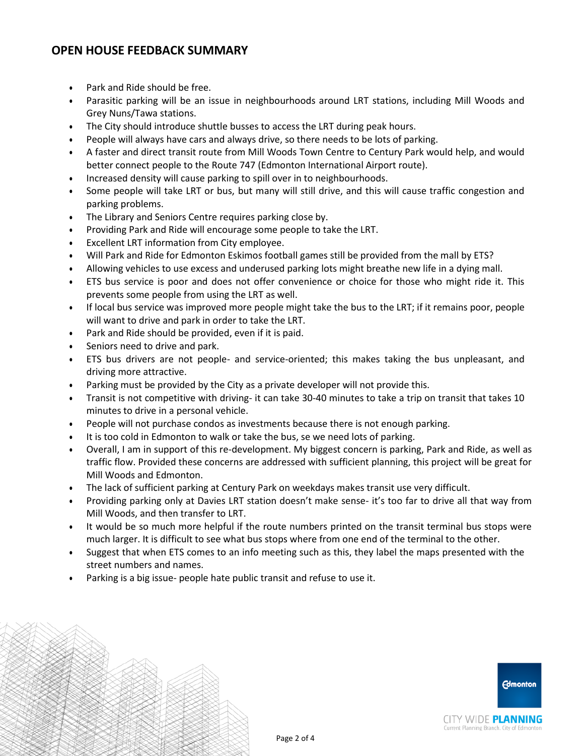- Park and Ride should be free.
- Parasitic parking will be an issue in neighbourhoods around LRT stations, including Mill Woods and Grey Nuns/Tawa stations.
- The City should introduce shuttle busses to access the LRT during peak hours.
- People will always have cars and always drive, so there needs to be lots of parking.
- A faster and direct transit route from Mill Woods Town Centre to Century Park would help, and would better connect people to the Route 747 (Edmonton International Airport route).
- Increased density will cause parking to spill over in to neighbourhoods.
- Some people will take LRT or bus, but many will still drive, and this will cause traffic congestion and parking problems.
- The Library and Seniors Centre requires parking close by.
- Providing Park and Ride will encourage some people to take the LRT.
- Excellent LRT information from City employee.
- Will Park and Ride for Edmonton Eskimos football games still be provided from the mall by ETS?
- Allowing vehicles to use excess and underused parking lots might breathe new life in a dying mall.
- ETS bus service is poor and does not offer convenience or choice for those who might ride it. This prevents some people from using the LRT as well.
- If local bus service was improved more people might take the bus to the LRT; if it remains poor, people will want to drive and park in order to take the LRT.
- Park and Ride should be provided, even if it is paid.
- Seniors need to drive and park.
- ETS bus drivers are not people- and service-oriented; this makes taking the bus unpleasant, and driving more attractive.
- Parking must be provided by the City as a private developer will not provide this.
- Transit is not competitive with driving- it can take 30-40 minutes to take a trip on transit that takes 10 minutes to drive in a personal vehicle.
- People will not purchase condos as investments because there is not enough parking.
- It is too cold in Edmonton to walk or take the bus, se we need lots of parking.
- Overall, I am in support of this re-development. My biggest concern is parking, Park and Ride, as well as traffic flow. Provided these concerns are addressed with sufficient planning, this project will be great for Mill Woods and Edmonton.
- The lack of sufficient parking at Century Park on weekdays makes transit use very difficult.
- Providing parking only at Davies LRT station doesn't make sense- it's too far to drive all that way from Mill Woods, and then transfer to LRT.
- It would be so much more helpful if the route numbers printed on the transit terminal bus stops were much larger. It is difficult to see what bus stops where from one end of the terminal to the other.
- Suggest that when ETS comes to an info meeting such as this, they label the maps presented with the street numbers and names.
- Parking is a big issue- people hate public transit and refuse to use it.

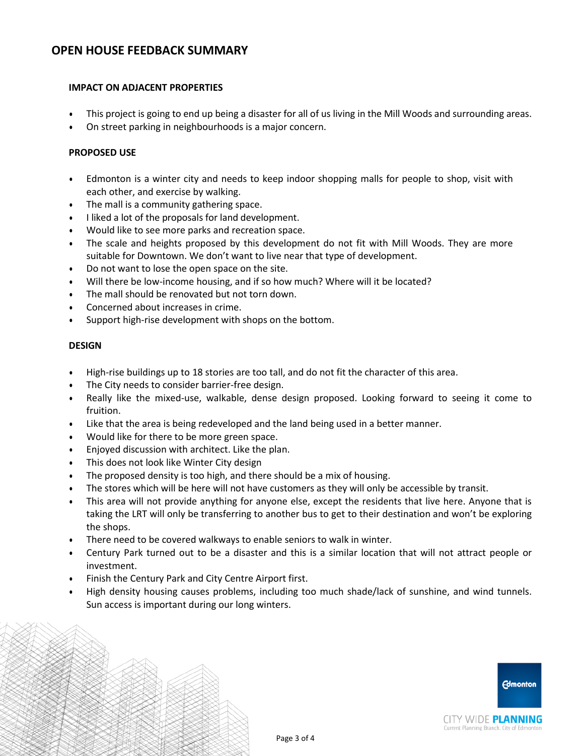### **IMPACT ON ADJACENT PROPERTIES**

- This project is going to end up being a disaster for all of us living in the Mill Woods and surrounding areas.
- On street parking in neighbourhoods is a major concern.

### **PROPOSED USE**

- Edmonton is a winter city and needs to keep indoor shopping malls for people to shop, visit with each other, and exercise by walking.
- The mall is a community gathering space.
- I liked a lot of the proposals for land development.
- Would like to see more parks and recreation space.
- The scale and heights proposed by this development do not fit with Mill Woods. They are more suitable for Downtown. We don't want to live near that type of development.
- Do not want to lose the open space on the site.
- Will there be low-income housing, and if so how much? Where will it be located?
- The mall should be renovated but not torn down.
- Concerned about increases in crime.
- Support high-rise development with shops on the bottom.

#### **DESIGN**

- High-rise buildings up to 18 stories are too tall, and do not fit the character of this area.
- The City needs to consider barrier-free design.
- Really like the mixed-use, walkable, dense design proposed. Looking forward to seeing it come to fruition.
- Like that the area is being redeveloped and the land being used in a better manner.
- Would like for there to be more green space.
- Enjoyed discussion with architect. Like the plan.
- This does not look like Winter City design
- The proposed density is too high, and there should be a mix of housing.
- The stores which will be here will not have customers as they will only be accessible by transit.
- This area will not provide anything for anyone else, except the residents that live here. Anyone that is taking the LRT will only be transferring to another bus to get to their destination and won't be exploring the shops.
- There need to be covered walkways to enable seniors to walk in winter.
- Century Park turned out to be a disaster and this is a similar location that will not attract people or investment.
- Finish the Century Park and City Centre Airport first.
- High density housing causes problems, including too much shade/lack of sunshine, and wind tunnels. Sun access is important during our long winters.